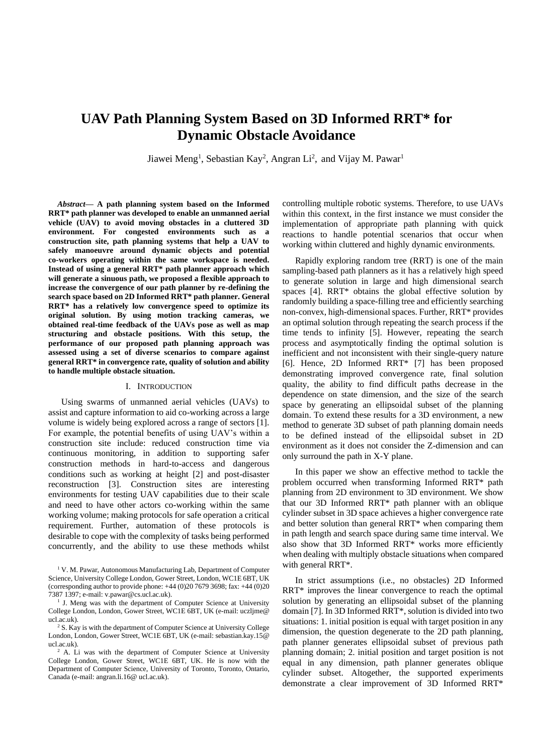# **UAV Path Planning System Based on 3D Informed RRT\* for Dynamic Obstacle Avoidance**

Jiawei Meng<sup>1</sup>, Sebastian Kay<sup>2</sup>, Angran Li<sup>2</sup>, and Vijay M. Pawar<sup>1</sup>

*Abstract***— A path planning system based on the Informed RRT\* path planner was developed to enable an unmanned aerial vehicle (UAV) to avoid moving obstacles in a cluttered 3D environment. For congested environments such as a construction site, path planning systems that help a UAV to safely manoeuvre around dynamic objects and potential co-workers operating within the same workspace is needed. Instead of using a general RRT\* path planner approach which will generate a sinuous path, we proposed a flexible approach to increase the convergence of our path planner by re-defining the search space based on 2D Informed RRT\* path planner. General RRT\* has a relatively low convergence speed to optimize its original solution. By using motion tracking cameras, we obtained real-time feedback of the UAVs pose as well as map structuring and obstacle positions. With this setup, the performance of our proposed path planning approach was assessed using a set of diverse scenarios to compare against general RRT\* in convergence rate, quality of solution and ability to handle multiple obstacle situation.** 

## I. INTRODUCTION

Using swarms of unmanned aerial vehicles (UAVs) to assist and capture information to aid co-working across a large volume is widely being explored across a range of sectors [1]. For example, the potential benefits of using UAV's within a construction site include: reduced construction time via continuous monitoring, in addition to supporting safer construction methods in hard-to-access and dangerous conditions such as working at height [2] and post-disaster reconstruction [3]. Construction sites are interesting environments for testing UAV capabilities due to their scale and need to have other actors co-working within the same working volume; making protocols for safe operation a critical requirement. Further, automation of these protocols is desirable to cope with the complexity of tasks being performed concurrently, and the ability to use these methods whilst controlling multiple robotic systems. Therefore, to use UAVs within this context, in the first instance we must consider the implementation of appropriate path planning with quick reactions to handle potential scenarios that occur when working within cluttered and highly dynamic environments.

Rapidly exploring random tree (RRT) is one of the main sampling-based path planners as it has a relatively high speed to generate solution in large and high dimensional search spaces [4]. RRT\* obtains the global effective solution by randomly building a space-filling tree and efficiently searching non-convex, high-dimensional spaces. Further, RRT\* provides an optimal solution through repeating the search process if the time tends to infinity [5]. However, repeating the search process and asymptotically finding the optimal solution is inefficient and not inconsistent with their single-query nature [6]. Hence, 2D Informed RRT\* [7] has been proposed demonstrating improved convergence rate, final solution quality, the ability to find difficult paths decrease in the dependence on state dimension, and the size of the search space by generating an ellipsoidal subset of the planning domain. To extend these results for a 3D environment, a new method to generate 3D subset of path planning domain needs to be defined instead of the ellipsoidal subset in 2D environment as it does not consider the Z-dimension and can only surround the path in X-Y plane.

In this paper we show an effective method to tackle the problem occurred when transforming Informed RRT\* path planning from 2D environment to 3D environment. We show that our 3D Informed RRT\* path planner with an oblique cylinder subset in 3D space achieves a higher convergence rate and better solution than general RRT\* when comparing them in path length and search space during same time interval. We also show that 3D Informed RRT\* works more efficiently when dealing with multiply obstacle situations when compared with general RRT\*.

In strict assumptions (i.e., no obstacles) 2D Informed RRT\* improves the linear convergence to reach the optimal solution by generating an ellipsoidal subset of the planning domain [7]. In 3D Informed RRT\*, solution is divided into two situations: 1. initial position is equal with target position in any dimension, the question degenerate to the 2D path planning, path planner generates ellipsoidal subset of previous path planning domain; 2. initial position and target position is not equal in any dimension, path planner generates oblique cylinder subset. Altogether, the supported experiments demonstrate a clear improvement of 3D Informed RRT\*

<sup>&</sup>lt;sup>1</sup> V. M. Pawar, Autonomous Manufacturing Lab, Department of Computer Science, University College London, Gower Street, London, WC1E 6BT, UK (corresponding author to provide phone:  $+44 (0)20 7679 3698$ ; fax:  $+44 (0)20$ 7387 1397; e-mail: v.pawar@cs.ucl.ac.uk).

<sup>&</sup>lt;sup>1</sup> J. Meng was with the department of Computer Science at University College London, London, Gower Street, WC1E 6BT, UK (e-mail: uczljme@ ucl.ac.uk).

<sup>&</sup>lt;sup>2</sup> S. Kay is with the department of Computer Science at University College London, London, Gower Street, WC1E 6BT, UK (e-mail: sebastian.kay.15@ ucl.ac.uk).

<sup>&</sup>lt;sup>2</sup> A. Li was with the department of Computer Science at University College London, Gower Street, WC1E 6BT, UK. He is now with the Department of Computer Science, University of Toronto, Toronto, Ontario, Canada (e-mail: angran.li.16@ ucl.ac.uk).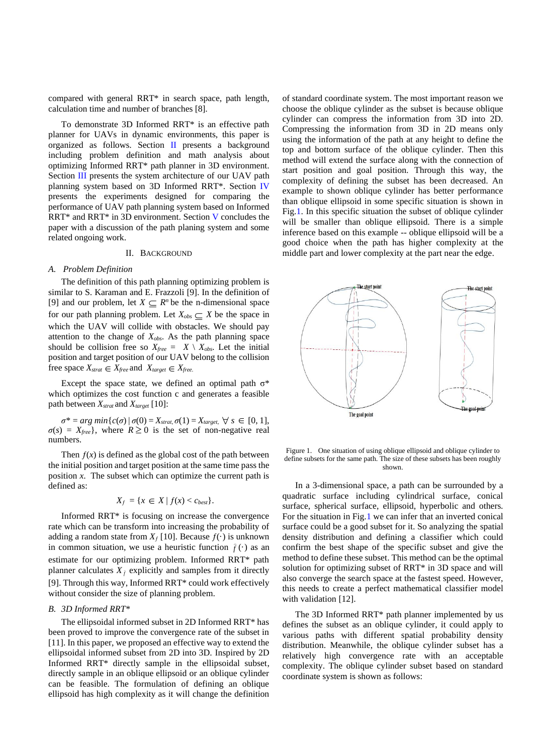compared with general RRT\* in search space, path length, calculation time and number of branches [8].

To demonstrate 3D Informed RRT\* is an effective path planner for UAVs in dynamic environments, this paper is organized as follows. Section II presents a background including problem definition and math analysis about optimizing Informed RRT\* path planner in 3D environment. Section III presents the system architecture of our UAV path planning system based on 3D Informed RRT\*. Section IV presents the experiments designed for comparing the performance of UAV path planning system based on Informed RRT\* and RRT\* in 3D environment. Section V concludes the paper with a discussion of the path planing system and some related ongoing work.

#### II. BACKGROUND

## *A. Problem Definition*

The definition of this path planning optimizing problem is similar to S. Karaman and E. Frazzoli [9]. In the definition of [9] and our problem, let  $X \subseteq R^n$  be the n-dimensional space for our path planning problem. Let  $X_{obs} \subseteq X$  be the space in which the UAV will collide with obstacles. We should pay attention to the change of *Xobs*. As the path planning space should be collision free so  $X_{\text{free}} = X \setminus X_{\text{obs}}$ . Let the initial position and target position of our UAV belong to the collision free space  $X_{\text{strat}} \in X_{\text{free}}$  and  $X_{\text{target}} \in X_{\text{free}}$ .

Except the space state, we defined an optimal path  $\sigma^*$ which optimizes the cost function c and generates a feasible path between *Xstrat* and *Xtarget* [10]:

 $\sigma^* = \arg \min \{ c(\sigma) \mid \sigma(0) = X_{\text{strat}, \sigma(1)} = X_{\text{target}, \forall s \in [0, 1],$  $\sigma(s) = X_{\text{free}}$ , where  $R \ge 0$  is the set of non-negative real numbers.

Then  $f(x)$  is defined as the global cost of the path between the initial position and target position at the same time pass the position *x*. The subset which can optimize the current path is defined as:

$$
X_f = \{ x \in X \mid f(x) < c_{best} \}.
$$

Informed RRT\* is focusing on increase the convergence rate which can be transform into increasing the probability of adding a random state from  $X_f$  [10]. Because  $f(\cdot)$  is unknown in common situation, we use a heuristic function  $\hat{f}(\cdot)$  as an estimate for our optimizing problem. Informed RRT\* path planner calculates  $X_{\hat{f}}$  explicitly and samples from it directly [9]. Through this way, Informed RRT\* could work effectively without consider the size of planning problem.

#### *B. 3D Informed RRT\**

The ellipsoidal informed subset in 2D Informed RRT\* has been proved to improve the convergence rate of the subset in [11]. In this paper, we proposed an effective way to extend the ellipsoidal informed subset from 2D into 3D. Inspired by 2D Informed RRT\* directly sample in the ellipsoidal subset, directly sample in an oblique ellipsoid or an oblique cylinder can be feasible. The formulation of defining an oblique ellipsoid has high complexity as it will change the definition

of standard coordinate system. The most important reason we choose the oblique cylinder as the subset is because oblique cylinder can compress the information from 3D into 2D. Compressing the information from 3D in 2D means only using the information of the path at any height to define the top and bottom surface of the oblique cylinder. Then this method will extend the surface along with the connection of start position and goal position. Through this way, the complexity of defining the subset has been decreased. An example to shown oblique cylinder has better performance than oblique ellipsoid in some specific situation is shown in Fig.1. In this specific situation the subset of oblique cylinder will be smaller than oblique ellipsoid. There is a simple inference based on this example -- oblique ellipsoid will be a good choice when the path has higher complexity at the middle part and lower complexity at the part near the edge.



Figure 1. One situation of using oblique ellipsoid and oblique cylinder to define subsets for the same path. The size of these subsets has been roughly shown.

In a 3-dimensional space, a path can be surrounded by a quadratic surface including cylindrical surface, conical surface, spherical surface, ellipsoid, hyperbolic and others. For the situation in Fig.1 we can infer that an inverted conical surface could be a good subset for it. So analyzing the spatial density distribution and defining a classifier which could confirm the best shape of the specific subset and give the method to define these subset. This method can be the optimal solution for optimizing subset of RRT\* in 3D space and will also converge the search space at the fastest speed. However, this needs to create a perfect mathematical classifier model with validation [12].

The 3D Informed RRT\* path planner implemented by us defines the subset as an oblique cylinder, it could apply to various paths with different spatial probability density distribution. Meanwhile, the oblique cylinder subset has a relatively high convergence rate with an acceptable complexity. The oblique cylinder subset based on standard coordinate system is shown as follows: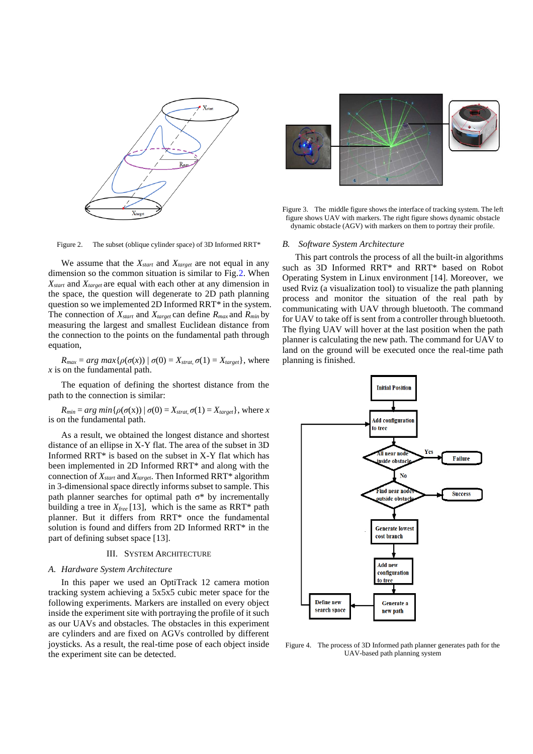

Figure 3. The middle figure shows the interface of tracking system. The left figure shows UAV with markers. The right figure shows dynamic obstacle dynamic obstacle (AGV) with markers on them to portray their profile.

#### *B. Software System Architecture*

This part controls the process of all the built-in algorithms such as 3D Informed RRT\* and RRT\* based on Robot Operating System in Linux environment [14]. Moreover, we used Rviz (a visualization tool) to visualize the path planning process and monitor the situation of the real path by communicating with UAV through bluetooth. The command for UAV to take off is sent from a controller through bluetooth. The flying UAV will hover at the last position when the path planner is calculating the new path. The command for UAV to land on the ground will be executed once the real-time path planning is finished.



Figure 4. The process of 3D Informed path planner generates path for the UAV-based path planning system

Figure 2. The subset (oblique cylinder space) of 3D Informed RRT\*

We assume that the *Xstart* and *Xtarget* are not equal in any dimension so the common situation is similar to Fig.2. When *Xstart* and *Xtarget* are equal with each other at any dimension in the space, the question will degenerate to 2D path planning question so we implemented 2D Informed RRT\* in the system. The connection of  $X_{start}$  and  $X_{target}$  can define  $R_{max}$  and  $R_{min}$  by measuring the largest and smallest Euclidean distance from the connection to the points on the fundamental path through equation,

 $R_{max} = arg max\{\rho(\sigma(x)) | \sigma(0) = X_{strat}, \sigma(1) = X_{target}\}$ , where *x* is on the fundamental path.

The equation of defining the shortest distance from the path to the connection is similar:

 $R_{min} = arg min\{\rho(\sigma(x)) | \sigma(0) = X_{strat}, \sigma(1) = X_{target}\},$  where *x* is on the fundamental path.

As a result, we obtained the longest distance and shortest distance of an ellipse in X-Y flat. The area of the subset in 3D Informed RRT\* is based on the subset in X-Y flat which has been implemented in 2D Informed RRT\* and along with the connection of *Xstart* and *Xtarget*. Then Informed RRT\* algorithm in 3-dimensional space directly informs subset to sample. This path planner searches for optimal path  $\sigma^*$  by incrementally building a tree in *Xfree* [13], which is the same as RRT\* path planner. But it differs from RRT\* once the fundamental solution is found and differs from 2D Informed RRT\* in the part of defining subset space [13].

## III. SYSTEM ARCHITECTURE

#### *A. Hardware System Architecture*

In this paper we used an OptiTrack 12 camera motion tracking system achieving a 5x5x5 cubic meter space for the following experiments. Markers are installed on every object inside the experiment site with portraying the profile of it such as our UAVs and obstacles. The obstacles in this experiment are cylinders and are fixed on AGVs controlled by different joysticks. As a result, the real-time pose of each object inside the experiment site can be detected.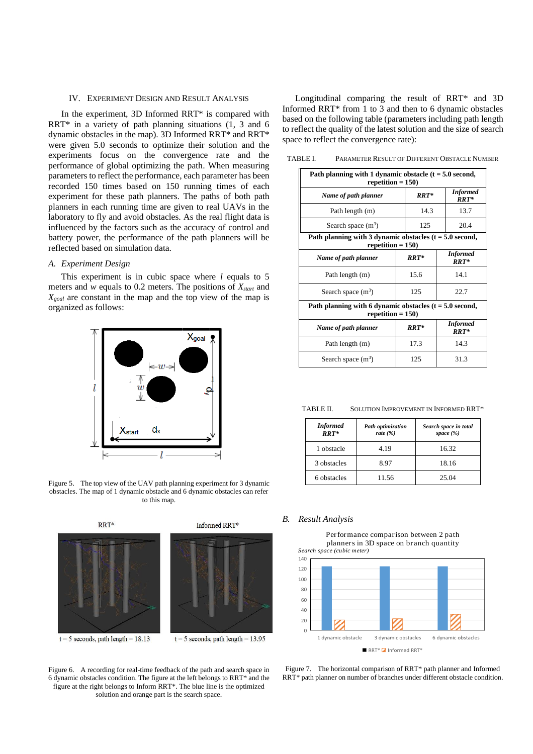## IV. EXPERIMENT DESIGN AND RESULT ANALYSIS

In the experiment, 3D Informed RRT\* is compared with RRT\* in a variety of path planning situations (1, 3 and 6 dynamic obstacles in the map). 3D Informed RRT\* and RRT\* were given 5.0 seconds to optimize their solution and the experiments focus on the convergence rate and the performance of global optimizing the path. When measuring parameters to reflect the performance, each parameter has been recorded 150 times based on 150 running times of each experiment for these path planners. The paths of both path planners in each running time are given to real UAVs in the laboratory to fly and avoid obstacles. As the real flight data is influenced by the factors such as the accuracy of control and battery power, the performance of the path planners will be reflected based on simulation data.

## *A. Experiment Design*

This experiment is in cubic space where *l* equals to 5 meters and *w* equals to 0.2 meters. The positions of *Xstart* and *Xgoal* are constant in the map and the top view of the map is organized as follows:



Figure 5. The top view of the UAV path planning experiment for 3 dynamic obstacles. The map of 1 dynamic obstacle and 6 dynamic obstacles can refer to this map.



Figure 6. A recording for real-time feedback of the path and search space in 6 dynamic obstacles condition. The figure at the left belongs to RRT\* and the figure at the right belongs to Inform RRT\*. The blue line is the optimized solution and orange part is the search space.

Longitudinal comparing the result of RRT\* and 3D Informed RRT\* from 1 to 3 and then to 6 dynamic obstacles based on the following table (parameters including path length to reflect the quality of the latest solution and the size of search space to reflect the convergence rate):

TABLE I. PARAMETER RESULT OF DIFFERENT OBSTACLE NUMBER

| Path planning with 1 dynamic obstacle $(t = 5.0$ second,<br>repetition = $150$ )  |         |                           |  |
|-----------------------------------------------------------------------------------|---------|---------------------------|--|
| Name of path planner                                                              | $RRT*$  | <b>Informed</b><br>RRT*   |  |
| Path length (m)                                                                   | 14.3    | 13.7                      |  |
| Search space $(m^3)$                                                              | 125     | 20.4                      |  |
| Path planning with 3 dynamic obstacles $(t = 5.0$ second,<br>repetition = $150$ ) |         |                           |  |
| Name of path planner                                                              | $RRT^*$ | <b>Informed</b><br>$RRT*$ |  |
| Path length (m)                                                                   | 15.6    | 14.1                      |  |
| Search space $(m^3)$                                                              | 125     | 22.7                      |  |
| Path planning with 6 dynamic obstacles $(t = 5.0$ second,<br>repetition = $150$ ) |         |                           |  |
| Name of path planner                                                              | $RRT*$  | <b>Informed</b><br>$RRT*$ |  |
| Path length (m)                                                                   | 17.3    | 14.3                      |  |
| Search space $(m^3)$                                                              | 125     | 31.3                      |  |

TABLE II. SOLUTION IMPROVEMENT IN INFORMED RRT\*

| <b>Informed</b><br>$RRT*$ | Path optimization<br>rate $(\% )$ | Search space in total<br>space $(\% )$ |
|---------------------------|-----------------------------------|----------------------------------------|
| 1 obstacle                | 4.19                              | 16.32                                  |
| 3 obstacles               | 8.97                              | 18.16                                  |
| 6 obstacles               | 11.56                             | 25.04                                  |

#### *B. Result Analysis*

Performance comparison between 2 path planners in 3D space on branch quantity *Search space (cubic meter)*



Figure 7. The horizontal comparison of RRT\* path planner and Informed RRT\* path planner on number of branches under different obstacle condition.